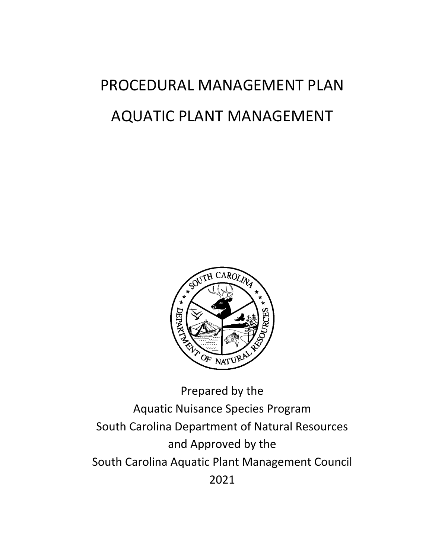# PROCEDURAL MANAGEMENT PLAN AQUATIC PLANT MANAGEMENT



Aquatic Nuisance Species Program South Carolina Department of Natural Resources and Approved by the South Carolina Aquatic Plant Management Council 2021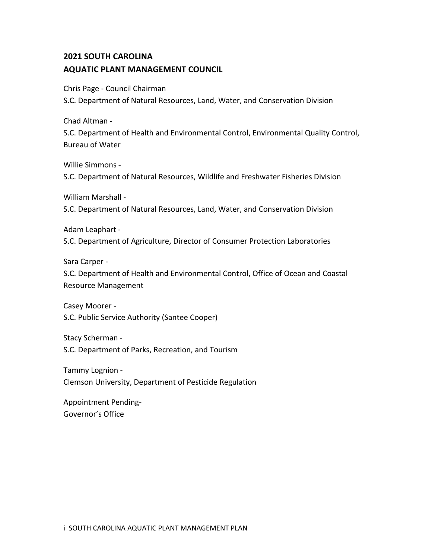# **2021 SOUTH CAROLINA AQUATIC PLANT MANAGEMENT COUNCIL**

Chris Page - Council Chairman

S.C. Department of Natural Resources, Land, Water, and Conservation Division

Chad Altman -

S.C. Department of Health and Environmental Control, Environmental Quality Control, Bureau of Water

Willie Simmons -

S.C. Department of Natural Resources, Wildlife and Freshwater Fisheries Division

William Marshall -

S.C. Department of Natural Resources, Land, Water, and Conservation Division

Adam Leaphart -

S.C. Department of Agriculture, Director of Consumer Protection Laboratories

Sara Carper -

S.C. Department of Health and Environmental Control, Office of Ocean and Coastal Resource Management

Casey Moorer - S.C. Public Service Authority (Santee Cooper)

Stacy Scherman - S.C. Department of Parks, Recreation, and Tourism

Tammy Lognion - Clemson University, Department of Pesticide Regulation

Appointment Pending-Governor's Office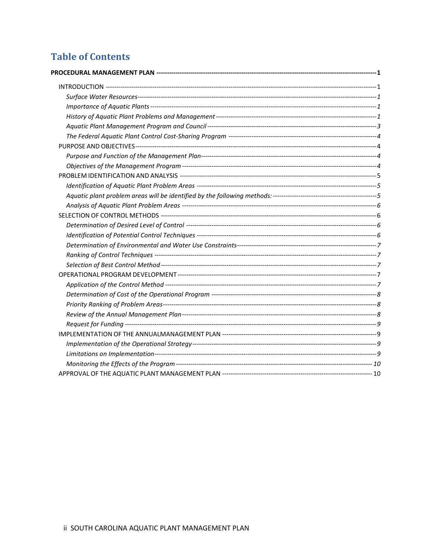# **Table of Contents**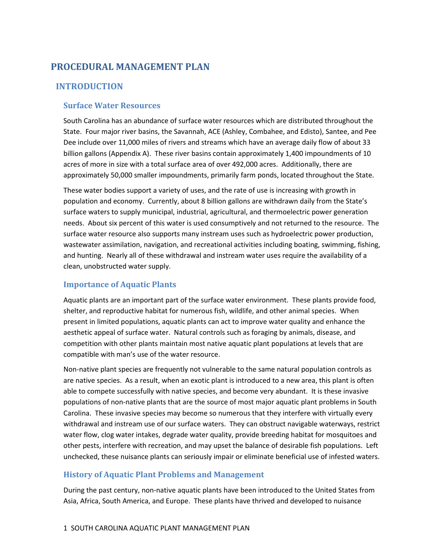# <span id="page-3-0"></span>**PROCEDURAL MANAGEMENT PLAN**

### <span id="page-3-1"></span>**INTRODUCTION**

#### <span id="page-3-2"></span>**Surface Water Resources**

South Carolina has an abundance of surface water resources which are distributed throughout the State. Four major river basins, the Savannah, ACE (Ashley, Combahee, and Edisto), Santee, and Pee Dee include over 11,000 miles of rivers and streams which have an average daily flow of about 33 billion gallons (Appendix A). These river basins contain approximately 1,400 impoundments of 10 acres of more in size with a total surface area of over 492,000 acres. Additionally, there are approximately 50,000 smaller impoundments, primarily farm ponds, located throughout the State.

These water bodies support a variety of uses, and the rate of use is increasing with growth in population and economy. Currently, about 8 billion gallons are withdrawn daily from the State's surface waters to supply municipal, industrial, agricultural, and thermoelectric power generation needs. About six percent of this water is used consumptively and not returned to the resource. The surface water resource also supports many instream uses such as hydroelectric power production, wastewater assimilation, navigation, and recreational activities including boating, swimming, fishing, and hunting. Nearly all of these withdrawal and instream water uses require the availability of a clean, unobstructed water supply.

#### <span id="page-3-3"></span>**Importance of Aquatic Plants**

Aquatic plants are an important part of the surface water environment. These plants provide food, shelter, and reproductive habitat for numerous fish, wildlife, and other animal species. When present in limited populations, aquatic plants can act to improve water quality and enhance the aesthetic appeal of surface water. Natural controls such as foraging by animals, disease, and competition with other plants maintain most native aquatic plant populations at levels that are compatible with man's use of the water resource.

Non-native plant species are frequently not vulnerable to the same natural population controls as are native species. As a result, when an exotic plant is introduced to a new area, this plant is often able to compete successfully with native species, and become very abundant. It is these invasive populations of non-native plants that are the source of most major aquatic plant problems in South Carolina. These invasive species may become so numerous that they interfere with virtually every withdrawal and instream use of our surface waters. They can obstruct navigable waterways, restrict water flow, clog water intakes, degrade water quality, provide breeding habitat for mosquitoes and other pests, interfere with recreation, and may upset the balance of desirable fish populations. Left unchecked, these nuisance plants can seriously impair or eliminate beneficial use of infested waters.

#### <span id="page-3-4"></span>**History of Aquatic Plant Problems and Management**

During the past century, non-native aquatic plants have been introduced to the United States from Asia, Africa, South America, and Europe. These plants have thrived and developed to nuisance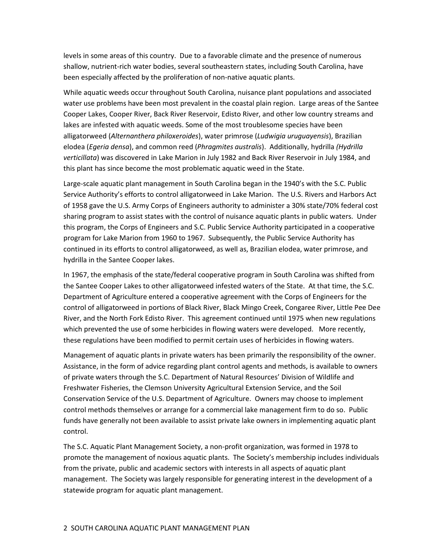levels in some areas of this country. Due to a favorable climate and the presence of numerous shallow, nutrient-rich water bodies, several southeastern states, including South Carolina, have been especially affected by the proliferation of non-native aquatic plants.

While aquatic weeds occur throughout South Carolina, nuisance plant populations and associated water use problems have been most prevalent in the coastal plain region. Large areas of the Santee Cooper Lakes, Cooper River, Back River Reservoir, Edisto River, and other low country streams and lakes are infested with aquatic weeds. Some of the most troublesome species have been alligatorweed (*Alternanthera philoxeroides*), water primrose (*Ludwigia uruguayensis*), Brazilian elodea (*Egeria densa*), and common reed (*Phragmites australis*). Additionally, hydrilla *(Hydrilla verticillata*) was discovered in Lake Marion in July 1982 and Back River Reservoir in July 1984, and this plant has since become the most problematic aquatic weed in the State.

Large-scale aquatic plant management in South Carolina began in the 1940's with the S.C. Public Service Authority's efforts to control alligatorweed in Lake Marion. The U.S. Rivers and Harbors Act of 1958 gave the U.S. Army Corps of Engineers authority to administer a 30% state/70% federal cost sharing program to assist states with the control of nuisance aquatic plants in public waters. Under this program, the Corps of Engineers and S.C. Public Service Authority participated in a cooperative program for Lake Marion from 1960 to 1967. Subsequently, the Public Service Authority has continued in its efforts to control alligatorweed, as well as, Brazilian elodea, water primrose, and hydrilla in the Santee Cooper lakes.

In 1967, the emphasis of the state/federal cooperative program in South Carolina was shifted from the Santee Cooper Lakes to other alligatorweed infested waters of the State. At that time, the S.C. Department of Agriculture entered a cooperative agreement with the Corps of Engineers for the control of alligatorweed in portions of Black River, Black Mingo Creek, Congaree River, Little Pee Dee River, and the North Fork Edisto River. This agreement continued until 1975 when new regulations which prevented the use of some herbicides in flowing waters were developed. More recently, these regulations have been modified to permit certain uses of herbicides in flowing waters.

Management of aquatic plants in private waters has been primarily the responsibility of the owner. Assistance, in the form of advice regarding plant control agents and methods, is available to owners of private waters through the S.C. Department of Natural Resources' Division of Wildlife and Freshwater Fisheries, the Clemson University Agricultural Extension Service, and the Soil Conservation Service of the U.S. Department of Agriculture. Owners may choose to implement control methods themselves or arrange for a commercial lake management firm to do so. Public funds have generally not been available to assist private lake owners in implementing aquatic plant control.

The S.C. Aquatic Plant Management Society, a non-profit organization, was formed in 1978 to promote the management of noxious aquatic plants. The Society's membership includes individuals from the private, public and academic sectors with interests in all aspects of aquatic plant management. The Society was largely responsible for generating interest in the development of a statewide program for aquatic plant management.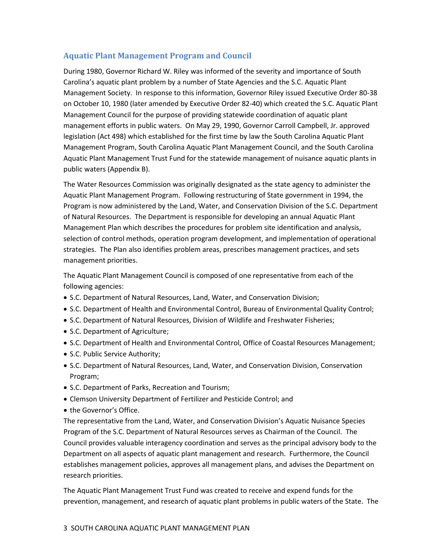#### <span id="page-5-0"></span>**Aquatic Plant Management Program and Council**

During 1980, Governor Richard W. Riley was informed of the severity and importance of South Carolina's aquatic plant problem by a number of State Agencies and the S.C. Aquatic Plant Management Society. In response to this information, Governor Riley issued Executive Order 80-38 on October 10, 1980 (later amended by Executive Order 82-40) which created the S.C. Aquatic Plant Management Council for the purpose of providing statewide coordination of aquatic plant management efforts in public waters. On May 29, 1990, Governor Carroll Campbell, Jr. approved legislation (Act 498) which established for the first time by law the South Carolina Aquatic Plant Management Program, South Carolina Aquatic Plant Management Council, and the South Carolina Aquatic Plant Management Trust Fund for the statewide management of nuisance aquatic plants in public waters (Appendix B).

The Water Resources Commission was originally designated as the state agency to administer the Aquatic Plant Management Program. Following restructuring of State government in 1994, the Program is now administered by the Land, Water, and Conservation Division of the S.C. Department of Natural Resources. The Department is responsible for developing an annual Aquatic Plant Management Plan which describes the procedures for problem site identification and analysis, selection of control methods, operation program development, and implementation of operational strategies. The Plan also identifies problem areas, prescribes management practices, and sets management priorities.

The Aquatic Plant Management Council is composed of one representative from each of the following agencies:

- S.C. Department of Natural Resources, Land, Water, and Conservation Division;
- S.C. Department of Health and Environmental Control, Bureau of Environmental Quality Control;
- S.C. Department of Natural Resources, Division of Wildlife and Freshwater Fisheries;
- S.C. Department of Agriculture;
- S.C. Department of Health and Environmental Control, Office of Coastal Resources Management;
- S.C. Public Service Authority;
- S.C. Department of Natural Resources, Land, Water, and Conservation Division, Conservation Program;
- S.C. Department of Parks, Recreation and Tourism;
- Clemson University Department of Fertilizer and Pesticide Control; and
- the Governor's Office.

The representative from the Land, Water, and Conservation Division's Aquatic Nuisance Species Program of the S.C. Department of Natural Resources serves as Chairman of the Council. The Council provides valuable interagency coordination and serves as the principal advisory body to the Department on all aspects of aquatic plant management and research. Furthermore, the Council establishes management policies, approves all management plans, and advises the Department on research priorities.

The Aquatic Plant Management Trust Fund was created to receive and expend funds for the prevention, management, and research of aquatic plant problems in public waters of the State. The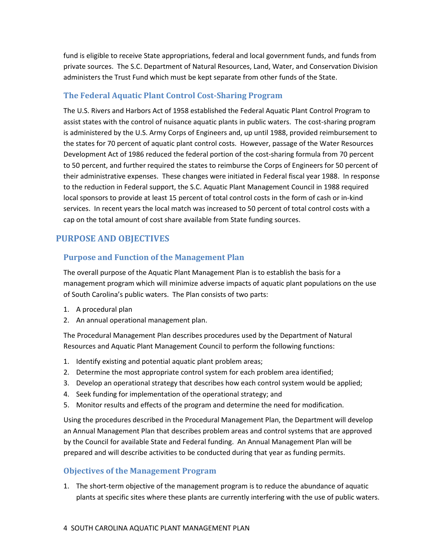fund is eligible to receive State appropriations, federal and local government funds, and funds from private sources. The S.C. Department of Natural Resources, Land, Water, and Conservation Division administers the Trust Fund which must be kept separate from other funds of the State.

# <span id="page-6-0"></span>**The Federal Aquatic Plant Control Cost-Sharing Program**

The U.S. Rivers and Harbors Act of 1958 established the Federal Aquatic Plant Control Program to assist states with the control of nuisance aquatic plants in public waters. The cost-sharing program is administered by the U.S. Army Corps of Engineers and, up until 1988, provided reimbursement to the states for 70 percent of aquatic plant control costs. However, passage of the Water Resources Development Act of 1986 reduced the federal portion of the cost-sharing formula from 70 percent to 50 percent, and further required the states to reimburse the Corps of Engineers for 50 percent of their administrative expenses. These changes were initiated in Federal fiscal year 1988. In response to the reduction in Federal support, the S.C. Aquatic Plant Management Council in 1988 required local sponsors to provide at least 15 percent of total control costs in the form of cash or in-kind services. In recent years the local match was increased to 50 percent of total control costs with a cap on the total amount of cost share available from State funding sources.

# <span id="page-6-1"></span>**PURPOSE AND OBJECTIVES**

# <span id="page-6-2"></span>**Purpose and Function of the Management Plan**

The overall purpose of the Aquatic Plant Management Plan is to establish the basis for a management program which will minimize adverse impacts of aquatic plant populations on the use of South Carolina's public waters. The Plan consists of two parts:

- 1. A procedural plan
- 2. An annual operational management plan.

The Procedural Management Plan describes procedures used by the Department of Natural Resources and Aquatic Plant Management Council to perform the following functions:

- 1. Identify existing and potential aquatic plant problem areas;
- 2. Determine the most appropriate control system for each problem area identified;
- 3. Develop an operational strategy that describes how each control system would be applied;
- 4. Seek funding for implementation of the operational strategy; and
- 5. Monitor results and effects of the program and determine the need for modification.

Using the procedures described in the Procedural Management Plan, the Department will develop an Annual Management Plan that describes problem areas and control systems that are approved by the Council for available State and Federal funding. An Annual Management Plan will be prepared and will describe activities to be conducted during that year as funding permits.

#### <span id="page-6-3"></span>**Objectives of the Management Program**

1. The short-term objective of the management program is to reduce the abundance of aquatic plants at specific sites where these plants are currently interfering with the use of public waters.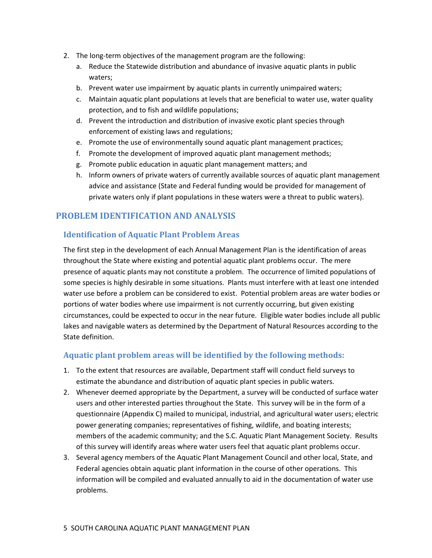- 2. The long-term objectives of the management program are the following:
	- a. Reduce the Statewide distribution and abundance of invasive aquatic plants in public waters;
	- b. Prevent water use impairment by aquatic plants in currently unimpaired waters;
	- c. Maintain aquatic plant populations at levels that are beneficial to water use, water quality protection, and to fish and wildlife populations;
	- d. Prevent the introduction and distribution of invasive exotic plant species through enforcement of existing laws and regulations;
	- e. Promote the use of environmentally sound aquatic plant management practices;
	- f. Promote the development of improved aquatic plant management methods;
	- g. Promote public education in aquatic plant management matters; and
	- h. Inform owners of private waters of currently available sources of aquatic plant management advice and assistance (State and Federal funding would be provided for management of private waters only if plant populations in these waters were a threat to public waters).

# <span id="page-7-0"></span>**PROBLEM IDENTIFICATION AND ANALYSIS**

#### <span id="page-7-1"></span>**Identification of Aquatic Plant Problem Areas**

The first step in the development of each Annual Management Plan is the identification of areas throughout the State where existing and potential aquatic plant problems occur. The mere presence of aquatic plants may not constitute a problem. The occurrence of limited populations of some species is highly desirable in some situations. Plants must interfere with at least one intended water use before a problem can be considered to exist. Potential problem areas are water bodies or portions of water bodies where use impairment is not currently occurring, but given existing circumstances, could be expected to occur in the near future. Eligible water bodies include all public lakes and navigable waters as determined by the Department of Natural Resources according to the State definition.

#### <span id="page-7-2"></span>**Aquatic plant problem areas will be identified by the following methods:**

- 1. To the extent that resources are available, Department staff will conduct field surveys to estimate the abundance and distribution of aquatic plant species in public waters.
- 2. Whenever deemed appropriate by the Department, a survey will be conducted of surface water users and other interested parties throughout the State. This survey will be in the form of a questionnaire (Appendix C) mailed to municipal, industrial, and agricultural water users; electric power generating companies; representatives of fishing, wildlife, and boating interests; members of the academic community; and the S.C. Aquatic Plant Management Society. Results of this survey will identify areas where water users feel that aquatic plant problems occur.
- 3. Several agency members of the Aquatic Plant Management Council and other local, State, and Federal agencies obtain aquatic plant information in the course of other operations. This information will be compiled and evaluated annually to aid in the documentation of water use problems.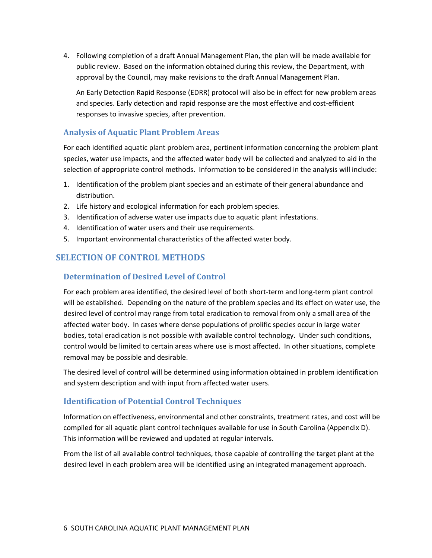4. Following completion of a draft Annual Management Plan, the plan will be made available for public review. Based on the information obtained during this review, the Department, with approval by the Council, may make revisions to the draft Annual Management Plan.

An Early Detection Rapid Response (EDRR) protocol will also be in effect for new problem areas and species. Early detection and rapid response are the most effective and cost-efficient responses to invasive species, after prevention.

#### <span id="page-8-0"></span>**Analysis of Aquatic Plant Problem Areas**

For each identified aquatic plant problem area, pertinent information concerning the problem plant species, water use impacts, and the affected water body will be collected and analyzed to aid in the selection of appropriate control methods. Information to be considered in the analysis will include:

- 1. Identification of the problem plant species and an estimate of their general abundance and distribution.
- 2. Life history and ecological information for each problem species.
- 3. Identification of adverse water use impacts due to aquatic plant infestations.
- 4. Identification of water users and their use requirements.
- 5. Important environmental characteristics of the affected water body.

# <span id="page-8-1"></span>**SELECTION OF CONTROL METHODS**

#### <span id="page-8-2"></span>**Determination of Desired Level of Control**

For each problem area identified, the desired level of both short-term and long-term plant control will be established. Depending on the nature of the problem species and its effect on water use, the desired level of control may range from total eradication to removal from only a small area of the affected water body. In cases where dense populations of prolific species occur in large water bodies, total eradication is not possible with available control technology. Under such conditions, control would be limited to certain areas where use is most affected. In other situations, complete removal may be possible and desirable.

The desired level of control will be determined using information obtained in problem identification and system description and with input from affected water users.

#### <span id="page-8-3"></span>**Identification of Potential Control Techniques**

Information on effectiveness, environmental and other constraints, treatment rates, and cost will be compiled for all aquatic plant control techniques available for use in South Carolina (Appendix D). This information will be reviewed and updated at regular intervals.

From the list of all available control techniques, those capable of controlling the target plant at the desired level in each problem area will be identified using an integrated management approach.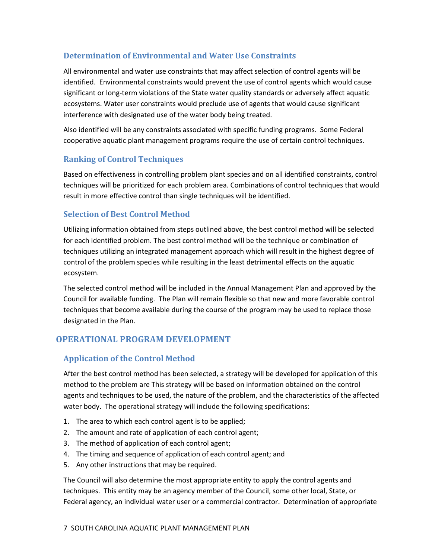# <span id="page-9-0"></span>**Determination of Environmental and Water Use Constraints**

All environmental and water use constraints that may affect selection of control agents will be identified. Environmental constraints would prevent the use of control agents which would cause significant or long-term violations of the State water quality standards or adversely affect aquatic ecosystems. Water user constraints would preclude use of agents that would cause significant interference with designated use of the water body being treated.

Also identified will be any constraints associated with specific funding programs. Some Federal cooperative aquatic plant management programs require the use of certain control techniques.

# <span id="page-9-1"></span>**Ranking of Control Techniques**

Based on effectiveness in controlling problem plant species and on all identified constraints, control techniques will be prioritized for each problem area. Combinations of control techniques that would result in more effective control than single techniques will be identified.

#### <span id="page-9-2"></span>**Selection of Best Control Method**

Utilizing information obtained from steps outlined above, the best control method will be selected for each identified problem. The best control method will be the technique or combination of techniques utilizing an integrated management approach which will result in the highest degree of control of the problem species while resulting in the least detrimental effects on the aquatic ecosystem.

The selected control method will be included in the Annual Management Plan and approved by the Council for available funding. The Plan will remain flexible so that new and more favorable control techniques that become available during the course of the program may be used to replace those designated in the Plan.

# <span id="page-9-3"></span>**OPERATIONAL PROGRAM DEVELOPMENT**

#### <span id="page-9-4"></span>**Application of the Control Method**

After the best control method has been selected, a strategy will be developed for application of this method to the problem are This strategy will be based on information obtained on the control agents and techniques to be used, the nature of the problem, and the characteristics of the affected water body. The operational strategy will include the following specifications:

- 1. The area to which each control agent is to be applied;
- 2. The amount and rate of application of each control agent;
- 3. The method of application of each control agent;
- 4. The timing and sequence of application of each control agent; and
- 5. Any other instructions that may be required.

The Council will also determine the most appropriate entity to apply the control agents and techniques. This entity may be an agency member of the Council, some other local, State, or Federal agency, an individual water user or a commercial contractor. Determination of appropriate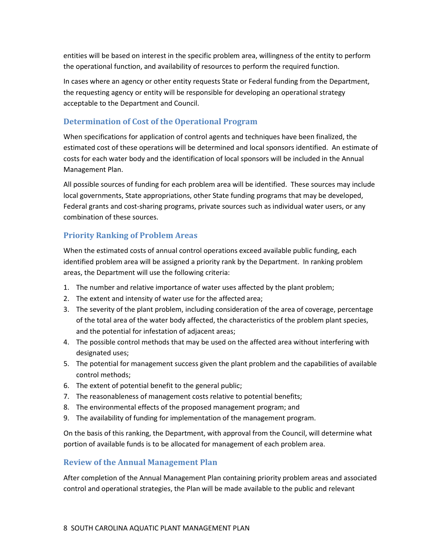entities will be based on interest in the specific problem area, willingness of the entity to perform the operational function, and availability of resources to perform the required function.

In cases where an agency or other entity requests State or Federal funding from the Department, the requesting agency or entity will be responsible for developing an operational strategy acceptable to the Department and Council.

#### <span id="page-10-0"></span>**Determination of Cost of the Operational Program**

When specifications for application of control agents and techniques have been finalized, the estimated cost of these operations will be determined and local sponsors identified. An estimate of costs for each water body and the identification of local sponsors will be included in the Annual Management Plan.

All possible sources of funding for each problem area will be identified. These sources may include local governments, State appropriations, other State funding programs that may be developed, Federal grants and cost-sharing programs, private sources such as individual water users, or any combination of these sources.

# <span id="page-10-1"></span>**Priority Ranking of Problem Areas**

When the estimated costs of annual control operations exceed available public funding, each identified problem area will be assigned a priority rank by the Department. In ranking problem areas, the Department will use the following criteria:

- 1. The number and relative importance of water uses affected by the plant problem;
- 2. The extent and intensity of water use for the affected area;
- 3. The severity of the plant problem, including consideration of the area of coverage, percentage of the total area of the water body affected, the characteristics of the problem plant species, and the potential for infestation of adjacent areas;
- 4. The possible control methods that may be used on the affected area without interfering with designated uses;
- 5. The potential for management success given the plant problem and the capabilities of available control methods;
- 6. The extent of potential benefit to the general public;
- 7. The reasonableness of management costs relative to potential benefits;
- 8. The environmental effects of the proposed management program; and
- 9. The availability of funding for implementation of the management program.

On the basis of this ranking, the Department, with approval from the Council, will determine what portion of available funds is to be allocated for management of each problem area.

#### <span id="page-10-2"></span>**Review of the Annual Management Plan**

After completion of the Annual Management Plan containing priority problem areas and associated control and operational strategies, the Plan will be made available to the public and relevant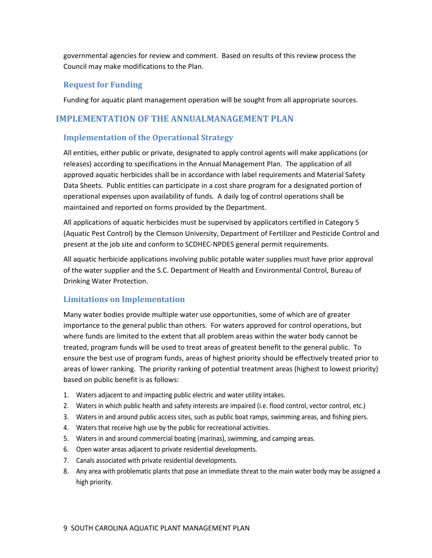governmental agencies for review and comment. Based on results of this review process the Council may make modifications to the Plan.

#### <span id="page-11-0"></span>**Request for Funding**

Funding for aquatic plant management operation will be sought from all appropriate sources.

#### <span id="page-11-1"></span>**IMPLEMENTATION OF THE ANNUALMANAGEMENT PLAN**

#### <span id="page-11-2"></span>**Implementation of the Operational Strategy**

All entities, either public or private, designated to apply control agents will make applications (or releases) according to specifications in the Annual Management Plan. The application of all approved aquatic herbicides shall be in accordance with label requirements and Material Safety Data Sheets. Public entities can participate in a cost share program for a designated portion of operational expenses upon availability of funds. A daily log of control operations shall be maintained and reported on forms provided by the Department.

All applications of aquatic herbicides must be supervised by applicators certified in Category 5 (Aquatic Pest Control) by the Clemson University, Department of Fertilizer and Pesticide Control and present at the job site and conform to SCDHEC-NPDES general permit requirements.

All aquatic herbicide applications involving public potable water supplies must have prior approval of the water supplier and the S.C. Department of Health and Environmental Control, Bureau of Drinking Water Protection.

#### <span id="page-11-3"></span>**Limitations on Implementation**

Many water bodies provide multiple water use opportunities, some of which are of greater importance to the general public than others. For waters approved for control operations, but where funds are limited to the extent that all problem areas within the water body cannot be treated, program funds will be used to treat areas of greatest benefit to the general public. To ensure the best use of program funds, areas of highest priority should be effectively treated prior to areas of lower ranking. The priority ranking of potential treatment areas (highest to lowest priority) based on public benefit is as follows:

- 1. Waters adjacent to and impacting public electric and water utility intakes.
- 2. Waters in which public health and safety interests are impaired (i.e. flood control, vector control, etc.)
- 3. Waters in and around public access sites, such as public boat ramps, swimming areas, and fishing piers.
- 4. Waters that receive high use by the public for recreational activities.
- 5. Waters in and around commercial boating (marinas), swimming, and camping areas.
- 6. Open water areas adjacent to private residential developments.
- 7. Canals associated with private residential developments.
- 8. Any area with problematic plants that pose an immediate threat to the main water body may be assigned a high priority.